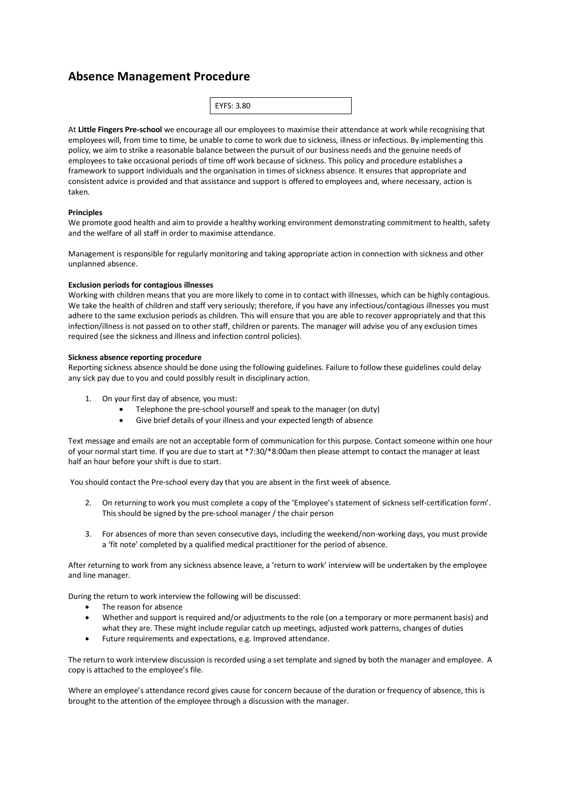# **Absence Management Procedure**

| EYFS: 3.80 |  |  |
|------------|--|--|
|            |  |  |

At **Little Fingers Pre-school** we encourage all our employees to maximise their attendance at work while recognising that employees will, from time to time, be unable to come to work due to sickness, illness or infectious. By implementing this policy, we aim to strike a reasonable balance between the pursuit of our business needs and the genuine needs of employees to take occasional periods of time off work because of sickness. This policy and procedure establishes a framework to support individuals and the organisation in times of sickness absence. It ensures that appropriate and consistent advice is provided and that assistance and support is offered to employees and, where necessary, action is taken.

# **Principles**

We promote good health and aim to provide a healthy working environment demonstrating commitment to health, safety and the welfare of all staff in order to maximise attendance.

Management is responsible for regularly monitoring and taking appropriate action in connection with sickness and other unplanned absence.

#### **Exclusion periods for contagious illnesses**

Working with children means that you are more likely to come in to contact with illnesses, which can be highly contagious. We take the health of children and staff very seriously; therefore, if you have any infectious/contagious illnesses you must adhere to the same exclusion periods as children. This will ensure that you are able to recover appropriately and that this infection/illness is not passed on to other staff, children or parents. The manager will advise you of any exclusion times required (see the sickness and illness and infection control policies).

## **Sickness absence reporting procedure**

Reporting sickness absence should be done using the following guidelines. Failure to follow these guidelines could delay any sick pay due to you and could possibly result in disciplinary action.

- 1. On your first day of absence, you must:
	- Telephone the pre-school yourself and speak to the manager (on duty)
	- Give brief details of your illness and your expected length of absence

Text message and emails are not an acceptable form of communication for this purpose. Contact someone within one hour of your normal start time. If you are due to start at \*7:30/\*8:00am then please attempt to contact the manager at least half an hour before your shift is due to start.

You should contact the Pre-school every day that you are absent in the first week of absence.

- 2. On returning to work you must complete a copy of the 'Employee's statement of sickness self-certification form'. This should be signed by the pre-school manager / the chair person
- 3. For absences of more than seven consecutive days, including the weekend/non-working days, you must provide a 'fit note' completed by a qualified medical practitioner for the period of absence.

After returning to work from any sickness absence leave, a 'return to work' interview will be undertaken by the employee and line manager.

During the return to work interview the following will be discussed:

- The reason for absence
- Whether and support is required and/or adjustments to the role (on a temporary or more permanent basis) and what they are. These might include regular catch up meetings, adjusted work patterns, changes of duties
- Future requirements and expectations, e.g. Improved attendance.

The return to work interview discussion is recorded using a set template and signed by both the manager and employee. A copy is attached to the employee's file.

Where an employee's attendance record gives cause for concern because of the duration or frequency of absence, this is brought to the attention of the employee through a discussion with the manager.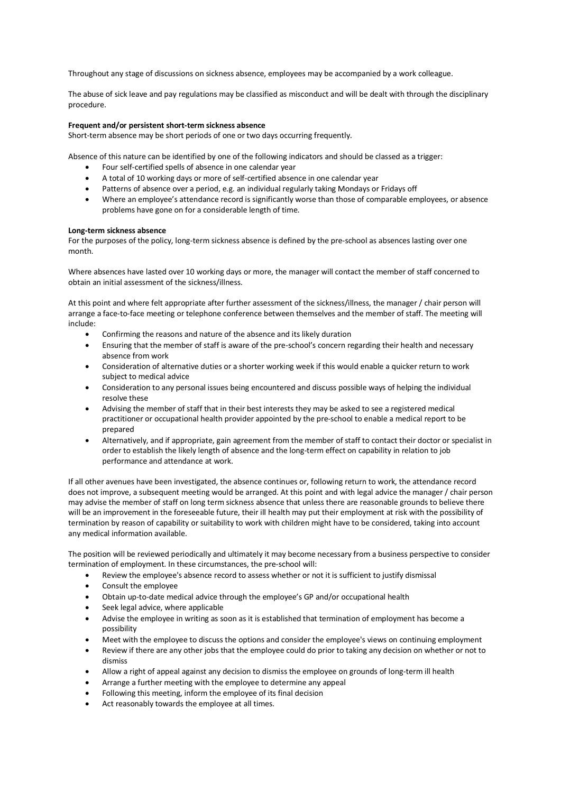Throughout any stage of discussions on sickness absence, employees may be accompanied by a work colleague.

The abuse of sick leave and pay regulations may be classified as misconduct and will be dealt with through the disciplinary procedure.

## **Frequent and/or persistent short-term sickness absence**

Short-term absence may be short periods of one or two days occurring frequently.

Absence of this nature can be identified by one of the following indicators and should be classed as a trigger:

- Four self-certified spells of absence in one calendar year
- A total of 10 working days or more of self-certified absence in one calendar year
- Patterns of absence over a period, e.g. an individual regularly taking Mondays or Fridays off
- Where an employee's attendance record is significantly worse than those of comparable employees, or absence problems have gone on for a considerable length of time.

## **Long-term sickness absence**

For the purposes of the policy, long-term sickness absence is defined by the pre-school as absences lasting over one month.

Where absences have lasted over 10 working days or more, the manager will contact the member of staff concerned to obtain an initial assessment of the sickness/illness.

At this point and where felt appropriate after further assessment of the sickness/illness, the manager / chair person will arrange a face-to-face meeting or telephone conference between themselves and the member of staff. The meeting will include:

- Confirming the reasons and nature of the absence and its likely duration
- Ensuring that the member of staff is aware of the pre-school's concern regarding their health and necessary absence from work
- Consideration of alternative duties or a shorter working week if this would enable a quicker return to work subject to medical advice
- Consideration to any personal issues being encountered and discuss possible ways of helping the individual resolve these
- Advising the member of staff that in their best interests they may be asked to see a registered medical practitioner or occupational health provider appointed by the pre-school to enable a medical report to be prepared
- Alternatively, and if appropriate, gain agreement from the member of staff to contact their doctor or specialist in order to establish the likely length of absence and the long-term effect on capability in relation to job performance and attendance at work.

If all other avenues have been investigated, the absence continues or, following return to work, the attendance record does not improve, a subsequent meeting would be arranged. At this point and with legal advice the manager / chair person may advise the member of staff on long term sickness absence that unless there are reasonable grounds to believe there will be an improvement in the foreseeable future, their ill health may put their employment at risk with the possibility of termination by reason of capability or suitability to work with children might have to be considered, taking into account any medical information available.

The position will be reviewed periodically and ultimately it may become necessary from a business perspective to consider termination of employment. In these circumstances, the pre-school will:

- Review the employee's absence record to assess whether or not it is sufficient to justify dismissal
- Consult the employee
- Obtain up-to-date medical advice through the employee's GP and/or occupational health
- Seek legal advice, where applicable
- Advise the employee in writing as soon as it is established that termination of employment has become a possibility
- Meet with the employee to discuss the options and consider the employee's views on continuing employment
- Review if there are any other jobs that the employee could do prior to taking any decision on whether or not to dismiss
- Allow a right of appeal against any decision to dismiss the employee on grounds of long-term ill health
- Arrange a further meeting with the employee to determine any appeal
- Following this meeting, inform the employee of its final decision
- Act reasonably towards the employee at all times.